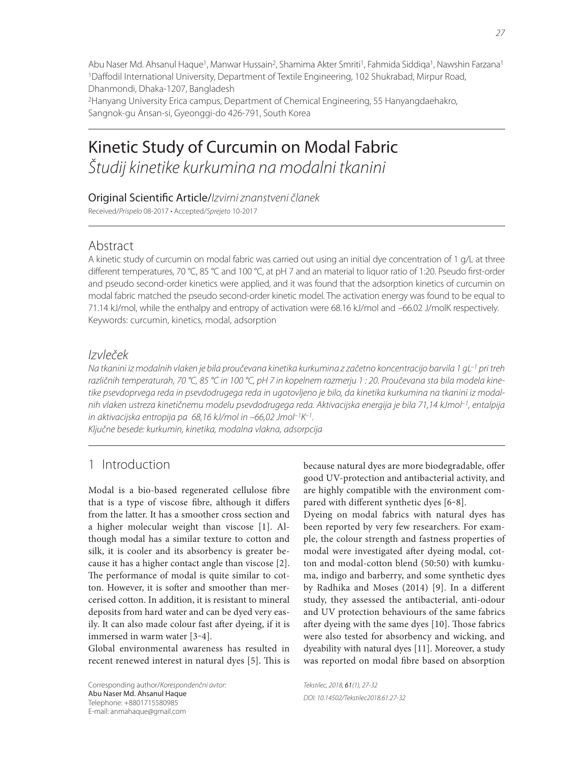Abu Naser Md. Ahsanul Haque<sup>1</sup>, Manwar Hussain<sup>2</sup>, Shamima Akter Smriti<sup>1</sup>, Fahmida Siddiqa<sup>1</sup>, Nawshin Farzana<sup>1</sup> <sup>1</sup>Daffodil International University, Department of Textile Engineering, 102 Shukrabad, Mirpur Road, Dhanmondi, Dhaka-1207, Bangladesh

2Hanyang University Erica campus, Department of Chemical Engineering, 55 Hanyangdaehakro, Sangnok-gu Ansan-si, Gyeonggi-do 426-791, South Korea

# Kinetic Study of Curcumin on Modal Fabric Študij kinetike kurkumina na modalni tkanini

### Original Scientific Article/Izvirni znanstveni članek

Received/Prispelo 08-2017 • Accepted/Sprejeto 10-2017

## Abstract

A kinetic study of curcumin on modal fabric was carried out using an initial dye concentration of 1 g/L at three different temperatures, 70 °C, 85 °C and 100 °C, at pH 7 and an material to liquor ratio of 1:20. Pseudo first-order and pseudo second-order kinetics were applied, and it was found that the adsorption kinetics of curcumin on modal fabric matched the pseudo second-order kinetic model. The activation energy was found to be equal to 71.14 kJ/mol, while the enthalpy and entropy of activation were 68.16 kJ/mol and –66.02 J/molK respectively. Keywords: curcumin, kinetics, modal, adsorption

## Izvleček

Na tkanini iz modalnih vlaken je bila proučevana kinetika kurkumina z začetno koncentracijo barvila 1 gL<sup>-1</sup> pri treh različnih temperaturah, 70 °C, 85 °C in 100 °C, pH 7 in kopelnem razmerju 1 : 20. Proučevana sta bila modela kinetike psevdoprvega reda in psevdodrugega reda in ugotovljeno je bilo, da kinetika kurkumina na tkanini iz modalnih vlaken ustreza kinetičnemu modelu psevdodrugega reda. Aktivacijska energija je bila 71,14 kJmol<sup>-1</sup>, entalpija in aktivacijska entropija pa 68,16 kJ/mol in –66,02 Jmol–1K–1.

Ključne besede: kurkumin, kinetika, modalna vlakna, adsorpcija

# 1 Introduction

Modal is a bio-based regenerated cellulose fibre that is a type of viscose fibre, although it differs from the latter. It has a smoother cross section and a higher molecular weight than viscose [1]. Although modal has a similar texture to cotton and silk, it is cooler and its absorbency is greater because it has a higher contact angle than viscose [2]. The performance of modal is quite similar to cotton. However, it is softer and smoother than mercerised cotton. In addition, it is resistant to mineral deposits from hard water and can be dyed very easily. It can also made colour fast after dyeing, if it is immersed in warm water [3‒4].

Global environmental awareness has resulted in recent renewed interest in natural dyes [5]. This is

Corresponding author/Korespondenčni avtor: Abu Naser Md. Ahsanul Haque Telephone: +8801715580985 E-mail: anmahaque@gmail.com

because natural dyes are more biodegradable, offer good UV-protection and antibacterial activity, and are highly compatible with the environment compared with different synthetic dyes [6-8].

Dyeing on modal fabrics with natural dyes has been reported by very few researchers. For example, the colour strength and fastness properties of modal were investigated after dyeing modal, cotton and modal-cotton blend (50:50) with kumkuma, indigo and barberry, and some synthetic dyes by Radhika and Moses  $(2014)$  [9]. In a different study, they assessed the antibacterial, anti-odour and UV protection behaviours of the same fabrics after dyeing with the same dyes [10]. Those fabrics were also tested for absorbency and wicking, and dyeability with natural dyes [11]. Moreover, a study was reported on modal fibre based on absorption

Tekstilec, 2018, 61(1), 27-32 DOI: 10.14502/Tekstilec2018.61.27-32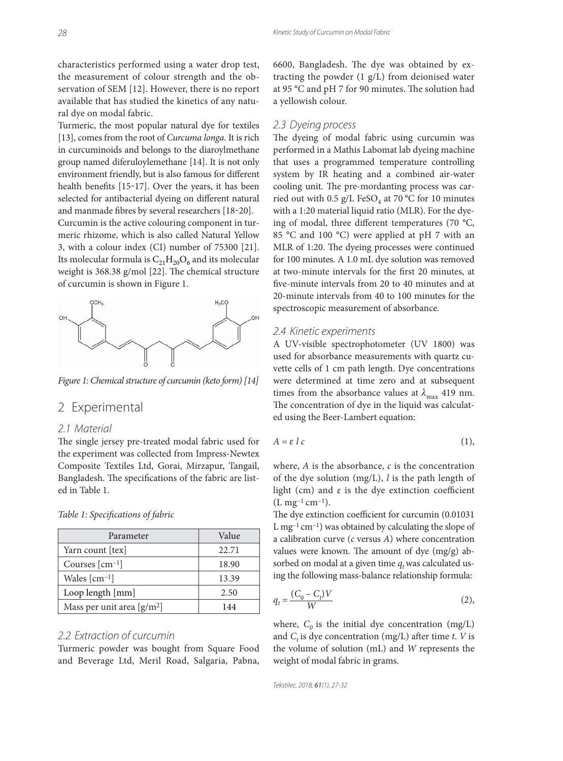characteristics performed using a water drop test, the measurement of colour strength and the observation of SEM [12]. However, there is no report available that has studied the kinetics of any natural dye on modal fabric.

Turmeric, the most popular natural dye for textiles [13], comes from the root of *Curcuma longa.* It is rich in curcuminoids and belongs to the diaroylmethane group named diferuloylemethane [14]. It is not only environment friendly, but is also famous for different health benefits [15-17]. Over the years, it has been selected for antibacterial dyeing on different natural and manmade fibres by several researchers [18-20].

Curcumin is the active colouring component in turmeric rhizome, which is also called Natural Yellow 3, with a colour index (CI) number of 75300 [21]. Its molecular formula is  $C_{21}H_{20}O_6$  and its molecular weight is 368.38 g/mol [22]. The chemical structure of curcumin is shown in Figure 1.



*Figure 1: Chemical structure of curcumin (keto form) [14]*

# 2 Experimental

#### 2.1 Material

The single jersey pre-treated modal fabric used for the experiment was collected from Impress-Newtex Composite Textiles Ltd, Gorai, Mirzapur, Tangail, Bangladesh. The specifications of the fabric are listed in Table 1.

| Parameter                                  | Value |
|--------------------------------------------|-------|
| Yarn count [tex]                           | 22.71 |
| Courses $\lceil$ cm <sup>-1</sup> $\rceil$ | 18.90 |
| Wales $\lceil$ cm <sup>-1</sup> $\rceil$   | 13.39 |
| Loop length [mm]                           | 2.50  |
| Mass per unit area $[g/m^2]$               | 144   |

*Table 1: Specifi cations of fabric*

### 2.2 Extraction of curcumin

Turmeric powder was bought from Square Food and Beverage Ltd, Meril Road, Salgaria, Pabna, 6600, Bangladesh. The dye was obtained by extracting the powder (1 g/L) from deionised water at 95 °C and pH 7 for 90 minutes. The solution had a yellowish colour.

#### 2.3 Dyeing process

The dyeing of modal fabric using curcumin was performed in a Mathis Labomat lab dyeing machine that uses a programmed temperature controlling system by IR heating and a combined air-water cooling unit. The pre-mordanting process was carried out with 0.5 g/L FeSO<sub>4</sub> at 70 °C for 10 minutes with a 1:20 material liquid ratio (MLR). For the dyeing of modal, three different temperatures (70  $^{\circ}$ C, 85 °C and 100 °C) were applied at pH 7 with an MLR of 1:20. The dyeing processes were continued for 100 minutes. A 1.0 mL dye solution was removed at two-minute intervals for the first 20 minutes, at five-minute intervals from 20 to 40 minutes and at 20-minute intervals from 40 to 100 minutes for the spectroscopic measurement of absorbance.

#### 2.4 Kinetic experiments

A UV-visible spectrophotometer (UV 1800) was used for absorbance measurements with quartz cuvette cells of 1 cm path length. Dye concentrations were determined at time zero and at subsequent times from the absorbance values at  $\lambda_{\text{max}}$  419 nm. The concentration of dye in the liquid was calculated using the Beer-Lambert equation:

$$
A = \varepsilon \, l \, c \tag{1}
$$

where, *A* is the absorbance, *c* is the concentration of the dye solution (mg/L), *l* is the path length of light (cm) and  $\varepsilon$  is the dye extinction coefficient  $(L mg^{-1} cm^{-1}).$ 

The dye extinction coefficient for curcumin (0.01031)  $L$  mg<sup>-1</sup> cm<sup>-1</sup>) was obtained by calculating the slope of a calibration curve (*c* versus *A*) where concentration values were known. The amount of dye  $(mg/g)$  absorbed on modal at a given time  $q_t$  was calculated using the following mass-balance relationship formula:

$$
q_t = \frac{(C_0 - C_t)V}{W} \tag{2}
$$

where,  $C_0$  is the initial dye concentration (mg/L) and  $C_t$  is dye concentration (mg/L) after time  $t$ .  $V$  is the volume of solution (mL) and *W* represents the weight of modal fabric in grams.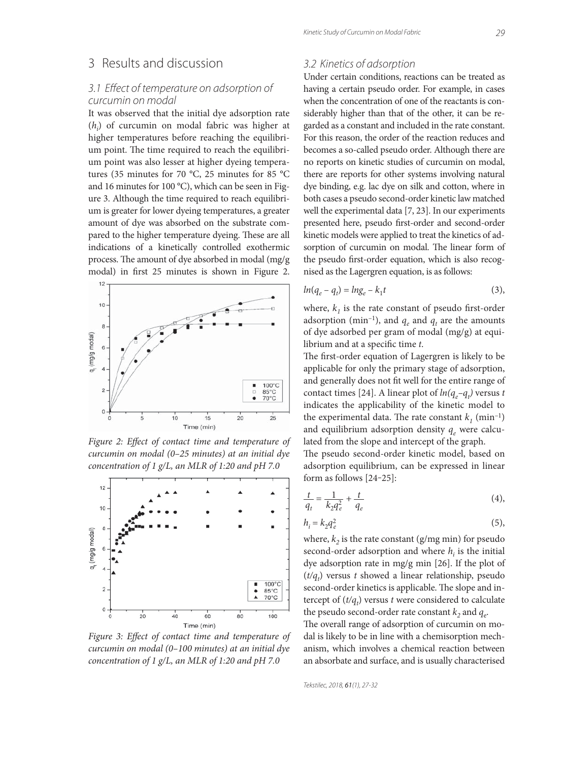### 3 Results and discussion

### 3.1 Effect of temperature on adsorption of curcumin on modal

It was observed that the initial dye adsorption rate (*hi* ) of curcumin on modal fabric was higher at higher temperatures before reaching the equilibrium point. The time required to reach the equilibrium point was also lesser at higher dyeing temperatures (35 minutes for 70 °C, 25 minutes for 85 °C and 16 minutes for 100 °C), which can be seen in Figure 3. Although the time required to reach equilibrium is greater for lower dyeing temperatures, a greater amount of dye was absorbed on the substrate compared to the higher temperature dyeing. These are all indications of a kinetically controlled exothermic process. The amount of dye absorbed in modal (mg/g modal) in first 25 minutes is shown in Figure 2.



Figure 2: Effect of contact time and temperature of *curcumin on modal (0–25 minutes) at an initial dye concentration of 1 g/L, an MLR of 1:20 and pH 7.0*



Figure 3: Effect of contact time and temperature of *curcumin on modal (0–100 minutes) at an initial dye concentration of 1 g/L, an MLR of 1:20 and pH 7.0*

### 3.2 Kinetics of adsorption

Under certain conditions, reactions can be treated as having a certain pseudo order. For example, in cases when the concentration of one of the reactants is considerably higher than that of the other, it can be regarded as a constant and included in the rate constant. For this reason, the order of the reaction reduces and becomes a so-called pseudo order. Although there are no reports on kinetic studies of curcumin on modal, there are reports for other systems involving natural dye binding, e.g. lac dye on silk and cotton, where in both cases a pseudo second-order kinetic law matched well the experimental data [7, 23]. In our experiments presented here, pseudo first-order and second-order kinetic models were applied to treat the kinetics of adsorption of curcumin on modal. The linear form of the pseudo first-order equation, which is also recognised as the Lagergren equation, is as follows:

$$
ln(q_e - q_t) = ln g_e - k_1 t \tag{3}
$$

where,  $k_1$  is the rate constant of pseudo first-order adsorption (min<sup>-1</sup>), and  $q_e$  and  $q_t$  are the amounts of dye adsorbed per gram of modal (mg/g) at equilibrium and at a specific time *t*.

The first-order equation of Lagergren is likely to be applicable for only the primary stage of adsorption, and generally does not fit well for the entire range of contact times [24]. A linear plot of  $ln(q_e - q_t)$  versus *t* indicates the applicability of the kinetic model to the experimental data. The rate constant  $k_1$  (min<sup>-1</sup>) and equilibrium adsorption density  $q_e$  were calculated from the slope and intercept of the graph.

The pseudo second-order kinetic model, based on adsorption equilibrium, can be expressed in linear form as follows [24-25]:

$$
\frac{t}{q_t} = \frac{1}{k_2 q_e^2} + \frac{t}{q_e}
$$
 (4),

$$
h_i = k_2 q_e^2 \tag{5}
$$

where,  $k_2$  is the rate constant (g/mg min) for pseudo second-order adsorption and where  $h_i$  is the initial dye adsorption rate in mg/g min [26]. If the plot of  $(t/q_t)$  versus *t* showed a linear relationship, pseudo second-order kinetics is applicable. The slope and intercept of  $(t/q_t)$  versus *t* were considered to calculate the pseudo second-order rate constant  $k_2$  and  $q_e$ .

The overall range of adsorption of curcumin on modal is likely to be in line with a chemisorption mechanism, which involves a chemical reaction between an absorbate and surface, and is usually characterised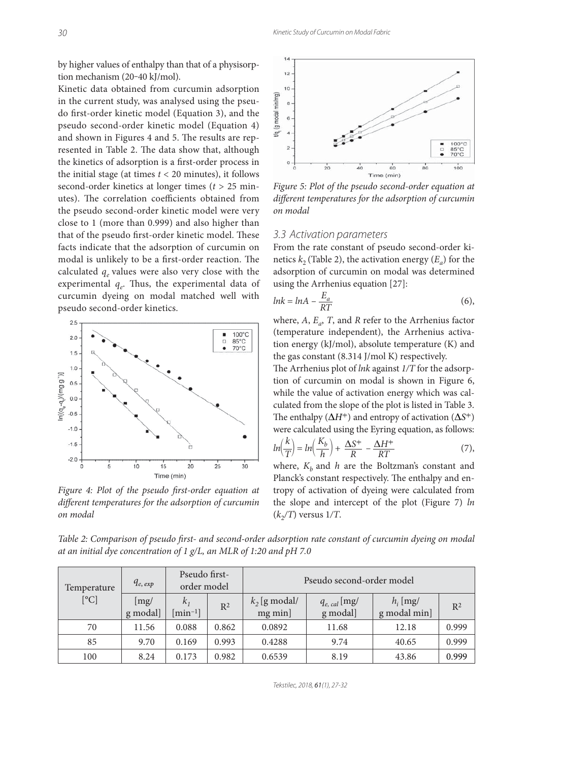by higher values of enthalpy than that of a physisorption mechanism (20-40 kJ/mol).

Kinetic data obtained from curcumin adsorption in the current study, was analysed using the pseudo first-order kinetic model (Equation 3), and the pseudo second-order kinetic model (Equation 4) and shown in Figures 4 and 5. The results are represented in Table 2. The data show that, although the kinetics of adsorption is a first-order process in the initial stage (at times *t* < 20 minutes), it follows second-order kinetics at longer times (*t* > 25 minutes). The correlation coefficients obtained from the pseudo second-order kinetic model were very close to 1 (more than 0.999) and also higher than that of the pseudo first-order kinetic model. These facts indicate that the adsorption of curcumin on modal is unlikely to be a first-order reaction. The calculated  $q_e$  values were also very close with the experimental  $q_e$ . Thus, the experimental data of curcumin dyeing on modal matched well with pseudo second-order kinetics.



Figure 4: Plot of the pseudo first-order equation at different temperatures for the adsorption of curcumin *on modal*



*Figure 5: Plot of the pseudo second-order equation at*  different temperatures for the adsorption of curcumin *on modal*

#### 3.3 Activation parameters

From the rate constant of pseudo second-order kinetics  $k_2$  (Table 2), the activation energy  $(E_a)$  for the adsorption of curcumin on modal was determined using the Arrhenius equation [27]:

$$
lnk = lnA - \frac{E_a}{RT}
$$
 (6),

where,  $A$ ,  $E_a$ ,  $T$ , and  $R$  refer to the Arrhenius factor (temperature independent), the Arrhenius activation energy (kJ/mol), absolute temperature (K) and the gas constant (8.314 J/mol K) respectively.

The Arrhenius plot of *lnk* against  $1/T$  for the adsorption of curcumin on modal is shown in Figure 6, while the value of activation energy which was calculated from the slope of the plot is listed in Table 3. The enthalpy  $(\Delta H^+)$  and entropy of activation  $(\Delta S^+)$ were calculated using the Eyring equation, as follows:

$$
ln\left(\frac{k}{T}\right) = ln\left(\frac{K_b}{h}\right) + \frac{\Delta S^+}{R} - \frac{\Delta H^+}{RT}
$$
 (7),

where,  $K_h$  and  $h$  are the Boltzman's constant and Planck's constant respectively. The enthalpy and entropy of activation of dyeing were calculated from the slope and intercept of the plot (Figure 7) *ln*  $(k_2/T)$  versus  $1/T$ .

*Table 2: Comparison of pseudo first- and second-order adsorption rate constant of curcumin dyeing on modal at an initial dye concentration of 1 g/L, an MLR of 1:20 and pH 7.0*

| Temperature<br>[°C] | $q_{e, exp}$            | Pseudo first-<br>order model         |       | Pseudo second-order model  |                               |                            |       |
|---------------------|-------------------------|--------------------------------------|-------|----------------------------|-------------------------------|----------------------------|-------|
|                     | $\vert$ mg/<br>g modal] | $k_{1}$<br>$\lceil \min^{-1} \rceil$ | $R^2$ | $k_2$ [g modal/<br>mg min] | $q_{e, cal}$ [mg/<br>g modal] | $h_i$ [mg/<br>g modal min] | $R^2$ |
| 70                  | 11.56                   | 0.088                                | 0.862 | 0.0892                     | 11.68                         | 12.18                      | 0.999 |
| 85                  | 9.70                    | 0.169                                | 0.993 | 0.4288                     | 9.74                          | 40.65                      | 0.999 |
| 100                 | 8.24                    | 0.173                                | 0.982 | 0.6539                     | 8.19                          | 43.86                      | 0.999 |

Tekstilec, 2018, 61(1), 27-32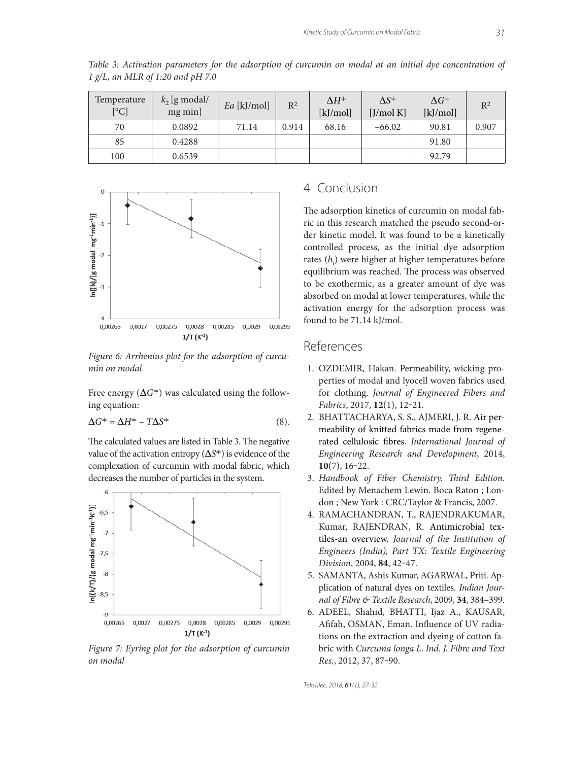| Temperature<br>[°C] | $k_2$ [g modal/<br>$mg$ min] | $Ea$ [kJ/mol] | R <sup>2</sup> | $\Delta H^+$<br>$[k] / \text{mol}$ | $\Delta S^+$<br>[J/mol K] | $\Delta G^+$<br>$[k] / \text{mol}$ | $R^2$ |
|---------------------|------------------------------|---------------|----------------|------------------------------------|---------------------------|------------------------------------|-------|
| 70                  | 0.0892                       | 71.14         | 0.914          | 68.16                              | $-66.02$                  | 90.81                              | 0.907 |
| 85                  | 0.4288                       |               |                |                                    |                           | 91.80                              |       |
| 100                 | 0.6539                       |               |                |                                    |                           | 92.79                              |       |

*Table 3: Activation parameters for the adsorption of curcumin on modal at an initial dye concentration of 1 g/L, an MLR of 1:20 and pH 7.0*



*Figure 6: Arrhenius plot for the adsorption of curcumin on modal*

Free energy  $(\Delta G^+)$  was calculated using the following equation:

$$
\Delta G^+ = \Delta H^+ - T\Delta S^+ \tag{8}.
$$

The calculated values are listed in Table 3. The negative value of the activation entropy (Δ*S*<sup>≠</sup>) is evidence of the complexation of curcumin with modal fabric, which decreases the number of particles in the system.



*Figure 7: Eyring plot for the adsorption of curcumin on modal*

# 4 Conclusion

The adsorption kinetics of curcumin on modal fabric in this research matched the pseudo second-order kinetic model. It was found to be a kinetically controlled process, as the initial dye adsorption rates (*h<sub>i</sub>*) were higher at higher temperatures before equilibrium was reached. The process was observed to be exothermic, as a greater amount of dye was absorbed on modal at lower temperatures, while the activation energy for the adsorption process was found to be 71.14 kJ/mol.

## References

- 1. OZDEMIR, Hakan. Permeability, wicking properties of modal and lyocell woven fabrics used for clothing. *Journal of Engineered Fibers and Fabrics*, 2017, **12**(1), 12‒21.
- 2. BHATTACHARYA, S. S., AJMERI, J. R. Air permeability of knitted fabrics made from regenerated cellulosic fibres. *International Journal of Engineering Research and Development*, 2014, **10**(7), 16‒22.
- 3. Handbook of Fiber Chemistry. Third Edition. Edited by Menachem Lewin. Boca Raton ; London ; New York : CRC/Taylor & Francis, 2007.
- 4. RAMACHANDRAN, T., RAJENDRAKUMAR, Kumar, RAJENDRAN, R. Antimicrobial textiles-an overview. *Journal of the Institution of Engineers (India), Part TX: Textile Engineering Division*, 2004, **84**, 42‒47.
- 5. SAMANTA, Ashis Kumar, AGARWAL, Priti. Application of natural dyes on textiles. *Indian Journal of Fibre & Textile Research*, 2009, **34**, 384–399.
- 6. ADEEL, Shahid, BHATTI, Ijaz A., KAUSAR, Afifah, OSMAN, Eman. Influence of UV radiations on the extraction and dyeing of cotton fabric with *Curcuma longa L*. *Ind. J. Fibre and Text Res.*, 2012, 37, 87‒90.

Tekstilec, 2018, 61(1), 27-32